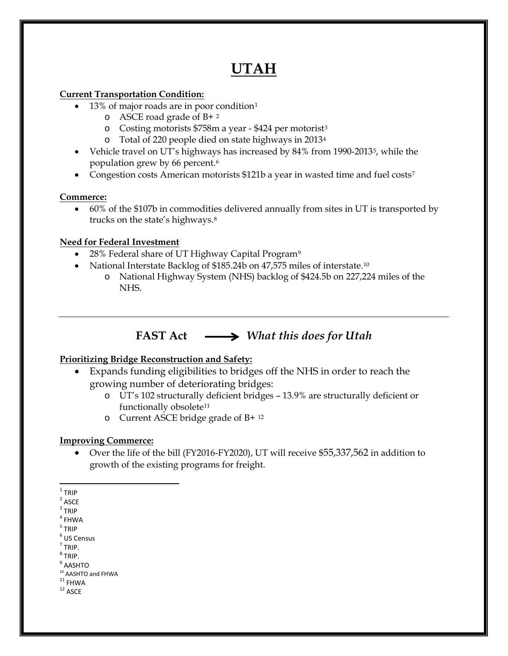# **UTAH**

### **Current Transportation Condition:**

- [1](#page-0-0)3% of major roads are in poor condition<sup>1</sup>
	- o ASCE road grade of B+ [2](#page-0-1)
	- o Costing motorists \$758m a year \$424 per motorist[3](#page-0-2)
	- o Total of 220 people died on state highways in 2013[4](#page-0-3)
- Vehicle travel on UT's highways has increased by 84% from 1990-2013[5](#page-0-4), while the population grew by 66 percent.[6](#page-0-5)
- Congestion costs American motorists \$121b a year in wasted time and fuel costs<sup>[7](#page-0-6)</sup>

### **Commerce:**

• 60% of the \$107b in commodities delivered annually from sites in UT is transported by trucks on the state's highways.[8](#page-0-7)

### **Need for Federal Investment**

- 28% Federal share of UT Highway Capital Program<sup>[9](#page-0-8)</sup>
- National Interstate Backlog of \$185.24b on 47,575 miles of interstate.<sup>[10](#page-0-9)</sup>
	- o National Highway System (NHS) backlog of \$424.5b on 227,224 miles of the NHS.

## **FAST Act** *What this does for Utah*

### **Prioritizing Bridge Reconstruction and Safety:**

- Expands funding eligibilities to bridges off the NHS in order to reach the growing number of deteriorating bridges:
	- o UT's 102 structurally deficient bridges 13.9% are structurally deficient or functionally obsolete<sup>[11](#page-0-10)</sup>
	- o Current ASCE bridge grade of B+ [12](#page-0-11)

#### **Improving Commerce:**

• Over the life of the bill (FY2016-FY2020), UT will receive \$55,337,562 in addition to growth of the existing programs for freight.

- <span id="page-0-2"></span> $3$  TRIP
- <span id="page-0-3"></span> $^4$  FHWA  $\,$
- <span id="page-0-4"></span><sup>5</sup> TRIP
- <span id="page-0-5"></span><sup>6</sup> US Census
- <span id="page-0-6"></span> $<sup>7</sup>$  TRIP.</sup>
- <span id="page-0-7"></span> $^8$  TRIP.
- **AASHTO**
- <span id="page-0-9"></span><span id="page-0-8"></span> $10$  AASHTO and FHWA<br> $11$  FHWA<br> $12$  ASCE
- <span id="page-0-11"></span><span id="page-0-10"></span>

<span id="page-0-0"></span> $1$  TRIP

<span id="page-0-1"></span> $2$  ASCE